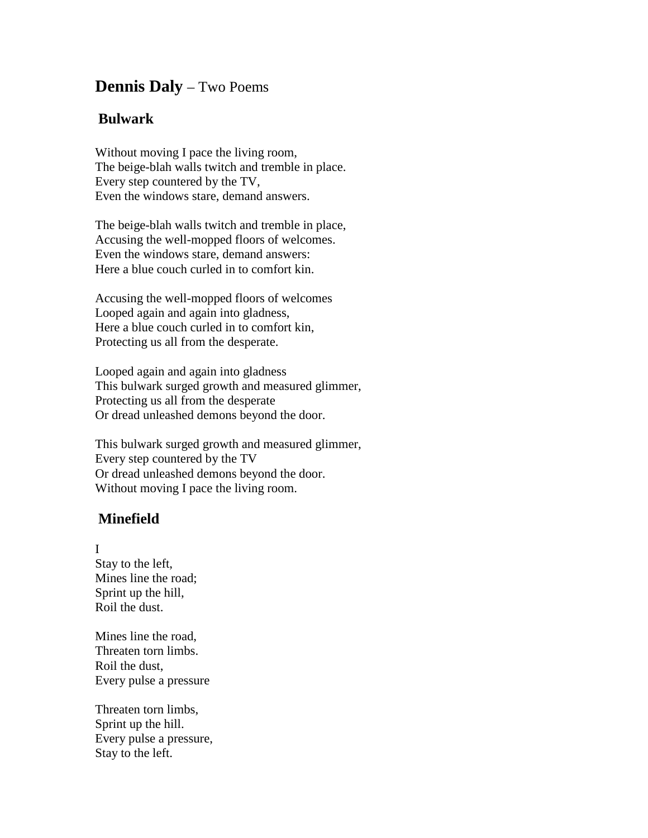## **Dennis Daly** – Two Poems

## **Bulwark**

Without moving I pace the living room, The beige-blah walls twitch and tremble in place. Every step countered by the TV, Even the windows stare, demand answers.

The beige-blah walls twitch and tremble in place, Accusing the well-mopped floors of welcomes. Even the windows stare, demand answers: Here a blue couch curled in to comfort kin.

Accusing the well-mopped floors of welcomes Looped again and again into gladness, Here a blue couch curled in to comfort kin, Protecting us all from the desperate.

Looped again and again into gladness This bulwark surged growth and measured glimmer, Protecting us all from the desperate Or dread unleashed demons beyond the door.

This bulwark surged growth and measured glimmer, Every step countered by the TV Or dread unleashed demons beyond the door. Without moving I pace the living room.

## **Minefield**

## I

Stay to the left, Mines line the road; Sprint up the hill, Roil the dust.

Mines line the road, Threaten torn limbs. Roil the dust, Every pulse a pressure

Threaten torn limbs, Sprint up the hill. Every pulse a pressure, Stay to the left.